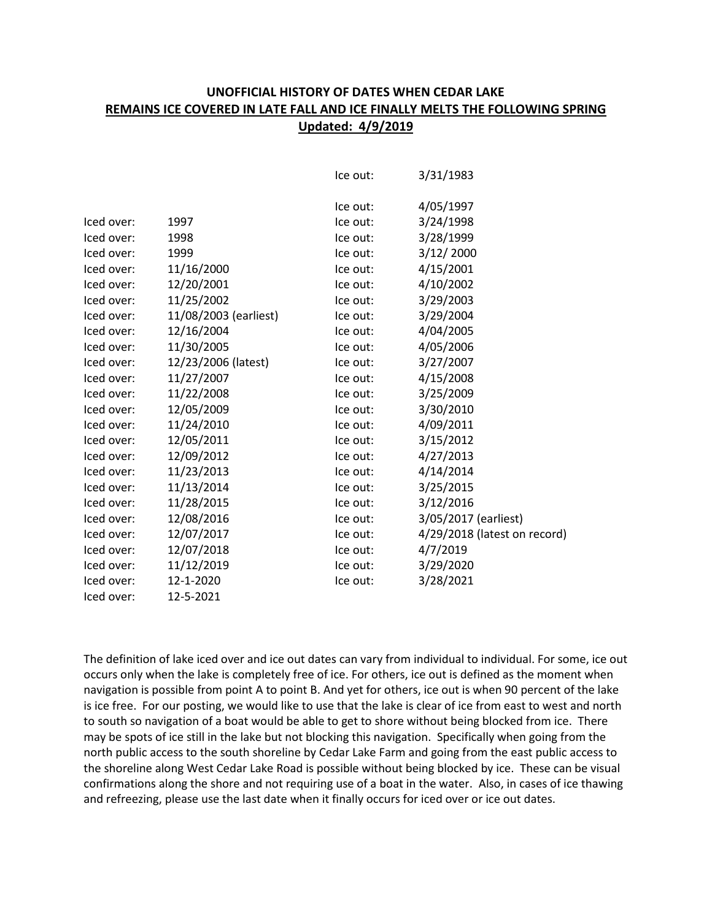## **UNOFFICIAL HISTORY OF DATES WHEN CEDAR LAKE REMAINS ICE COVERED IN LATE FALL AND ICE FINALLY MELTS THE FOLLOWING SPRING Updated: 4/9/2019**

|            |                       | Ice out: | 3/31/1983                    |
|------------|-----------------------|----------|------------------------------|
|            |                       | Ice out: | 4/05/1997                    |
| Iced over: | 1997                  | Ice out: | 3/24/1998                    |
| Iced over: | 1998                  | Ice out: | 3/28/1999                    |
| Iced over: | 1999                  | Ice out: | 3/12/2000                    |
| Iced over: | 11/16/2000            | Ice out: | 4/15/2001                    |
| Iced over: | 12/20/2001            | Ice out: | 4/10/2002                    |
| Iced over: | 11/25/2002            | Ice out: | 3/29/2003                    |
| Iced over: | 11/08/2003 (earliest) | Ice out: | 3/29/2004                    |
| Iced over: | 12/16/2004            | Ice out: | 4/04/2005                    |
| Iced over: | 11/30/2005            | Ice out: | 4/05/2006                    |
| Iced over: | 12/23/2006 (latest)   | Ice out: | 3/27/2007                    |
| Iced over: | 11/27/2007            | Ice out: | 4/15/2008                    |
| Iced over: | 11/22/2008            | Ice out: | 3/25/2009                    |
| Iced over: | 12/05/2009            | Ice out: | 3/30/2010                    |
| Iced over: | 11/24/2010            | Ice out: | 4/09/2011                    |
| Iced over: | 12/05/2011            | Ice out: | 3/15/2012                    |
| Iced over: | 12/09/2012            | Ice out: | 4/27/2013                    |
| Iced over: | 11/23/2013            | Ice out: | 4/14/2014                    |
| Iced over: | 11/13/2014            | Ice out: | 3/25/2015                    |
| Iced over: | 11/28/2015            | Ice out: | 3/12/2016                    |
| Iced over: | 12/08/2016            | Ice out: | 3/05/2017 (earliest)         |
| Iced over: | 12/07/2017            | Ice out: | 4/29/2018 (latest on record) |
| Iced over: | 12/07/2018            | Ice out: | 4/7/2019                     |
| Iced over: | 11/12/2019            | Ice out: | 3/29/2020                    |
| Iced over: | 12-1-2020             | Ice out: | 3/28/2021                    |
| Iced over: | 12-5-2021             |          |                              |

The definition of lake iced over and ice out dates can vary from individual to individual. For some, ice out occurs only when the lake is completely free of ice. For others, ice out is defined as the moment when navigation is possible from point A to point B. And yet for others, ice out is when 90 percent of the lake is ice free. For our posting, we would like to use that the lake is clear of ice from east to west and north to south so navigation of a boat would be able to get to shore without being blocked from ice. There may be spots of ice still in the lake but not blocking this navigation. Specifically when going from the north public access to the south shoreline by Cedar Lake Farm and going from the east public access to the shoreline along West Cedar Lake Road is possible without being blocked by ice. These can be visual confirmations along the shore and not requiring use of a boat in the water. Also, in cases of ice thawing and refreezing, please use the last date when it finally occurs for iced over or ice out dates.